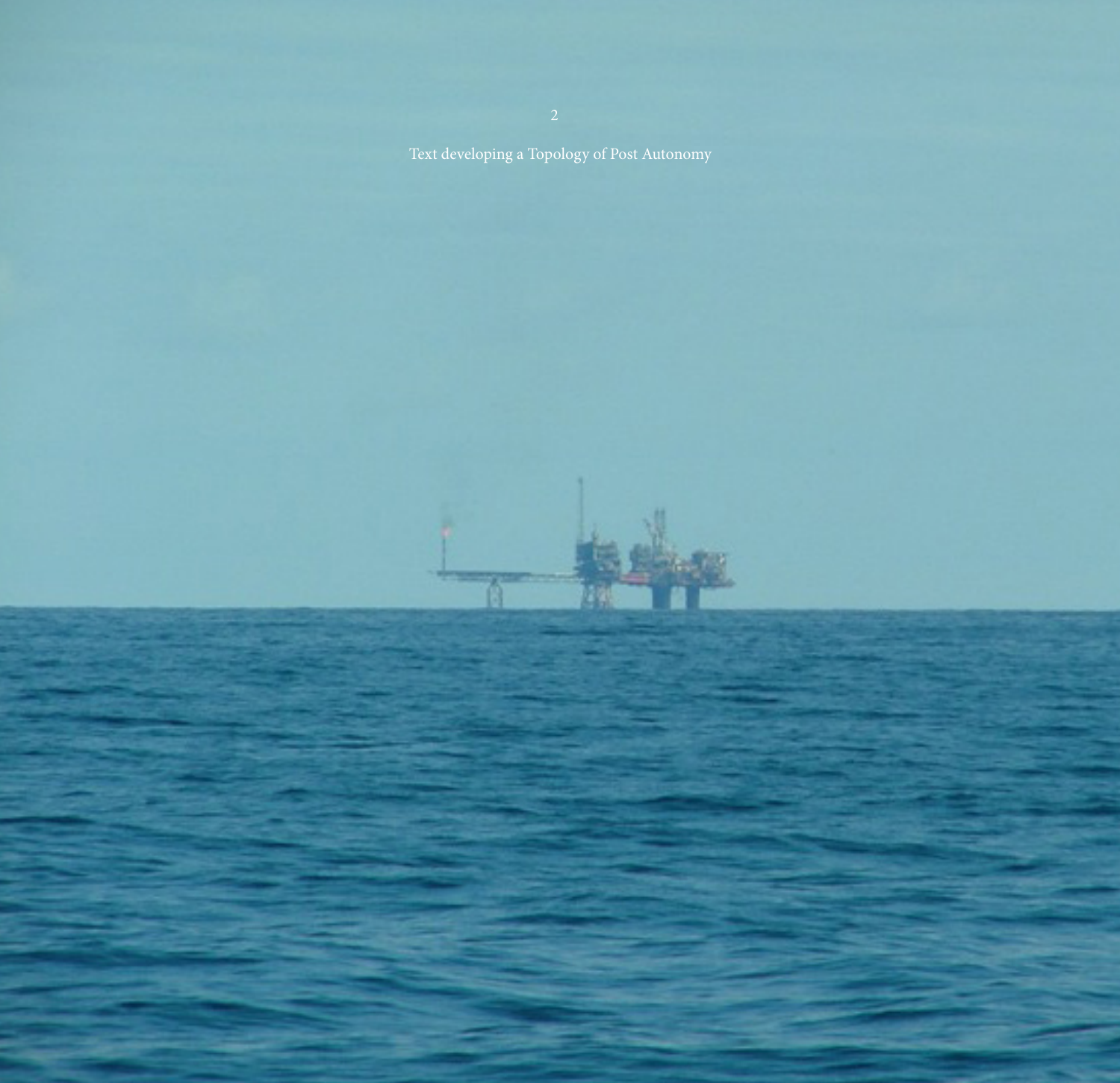Text developing a Topology of Post Autonomy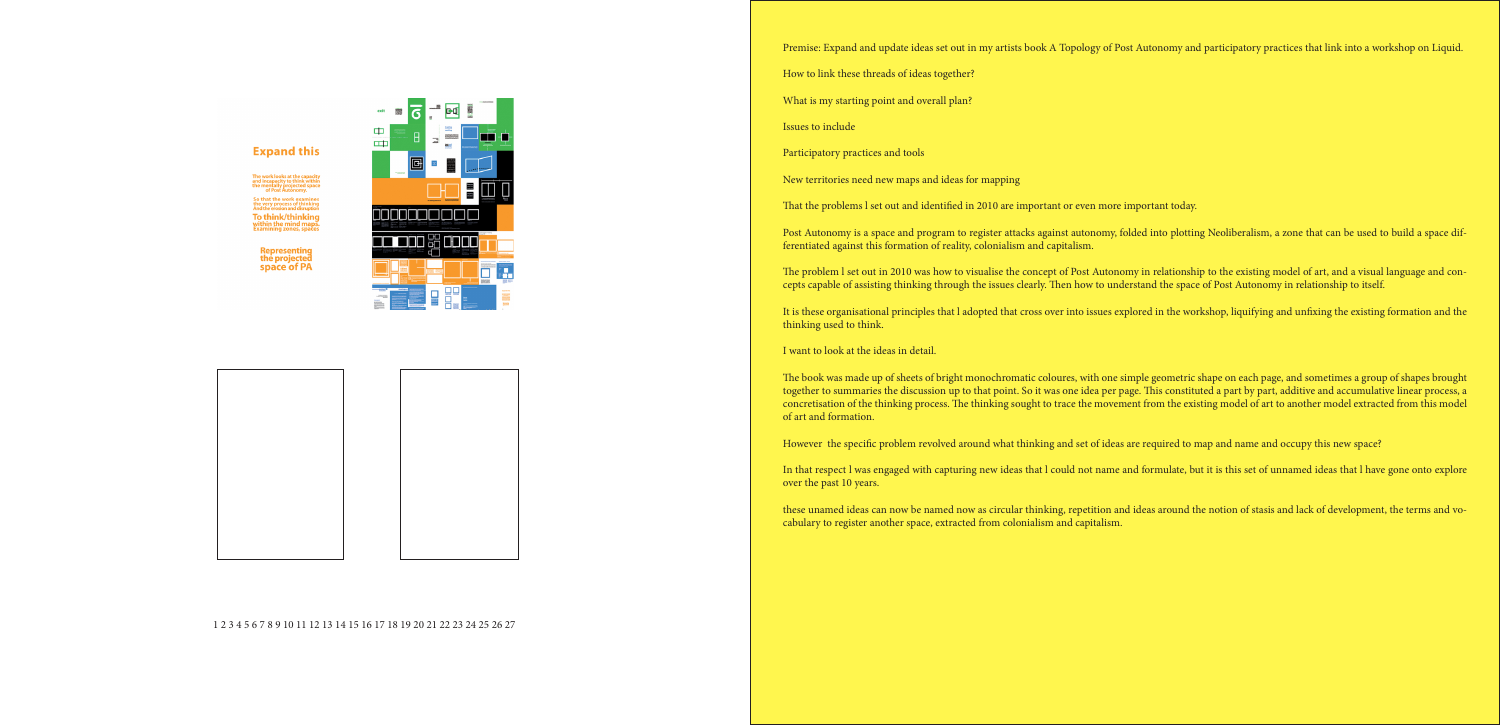

## **Expand this**

To think/thinking

**Representing<br>the projected<br>space of PA** 

Premise: Expand and update ideas set out in my artists book A Topology of Post Autonomy and participatory practices that link into a workshop on Liquid.

- How to link these threads of ideas together?
- What is my starting point and overall plan?
- Issues to include
- Participatory practices and tools
- New territories need new maps and ideas for mapping
- That the problems l set out and identified in 2010 are important or even more important today.

Post Autonomy is a space and program to register attacks against autonomy, folded into plotting Neoliberalism, a zone that can be used to build a space differentiated against this formation of reality, colonialism and capitalism.

The problem l set out in 2010 was how to visualise the concept of Post Autonomy in relationship to the existing model of art, and a visual language and concepts capable of assisting thinking through the issues clearly. Then how to understand the space of Post Autonomy in relationship to itself.

It is these organisational principles that l adopted that cross over into issues explored in the workshop, liquifying and unfixing the existing formation and the thinking used to think.

I want to look at the ideas in detail.

The book was made up of sheets of bright monochromatic coloures, with one simple geometric shape on each page, and sometimes a group of shapes brought together to summaries the discussion up to that point. So it was one idea per page. This constituted a part by part, additive and accumulative linear process, a concretisation of the thinking process. The thinking sought to trace the movement from the existing model of art to another model extracted from this model of art and formation.

However the specific problem revolved around what thinking and set of ideas are required to map and name and occupy this new space?

In that respect l was engaged with capturing new ideas that l could not name and formulate, but it is this set of unnamed ideas that l have gone onto explore over the past 10 years.

these unamed ideas can now be named now as circular thinking, repetition and ideas around the notion of stasis and lack of development, the terms and vocabulary to register another space, extracted from colonialism and capitalism.

1 2 3 4 5 6 7 8 9 10 11 12 13 14 15 16 17 18 19 20 21 22 23 24 25 26 27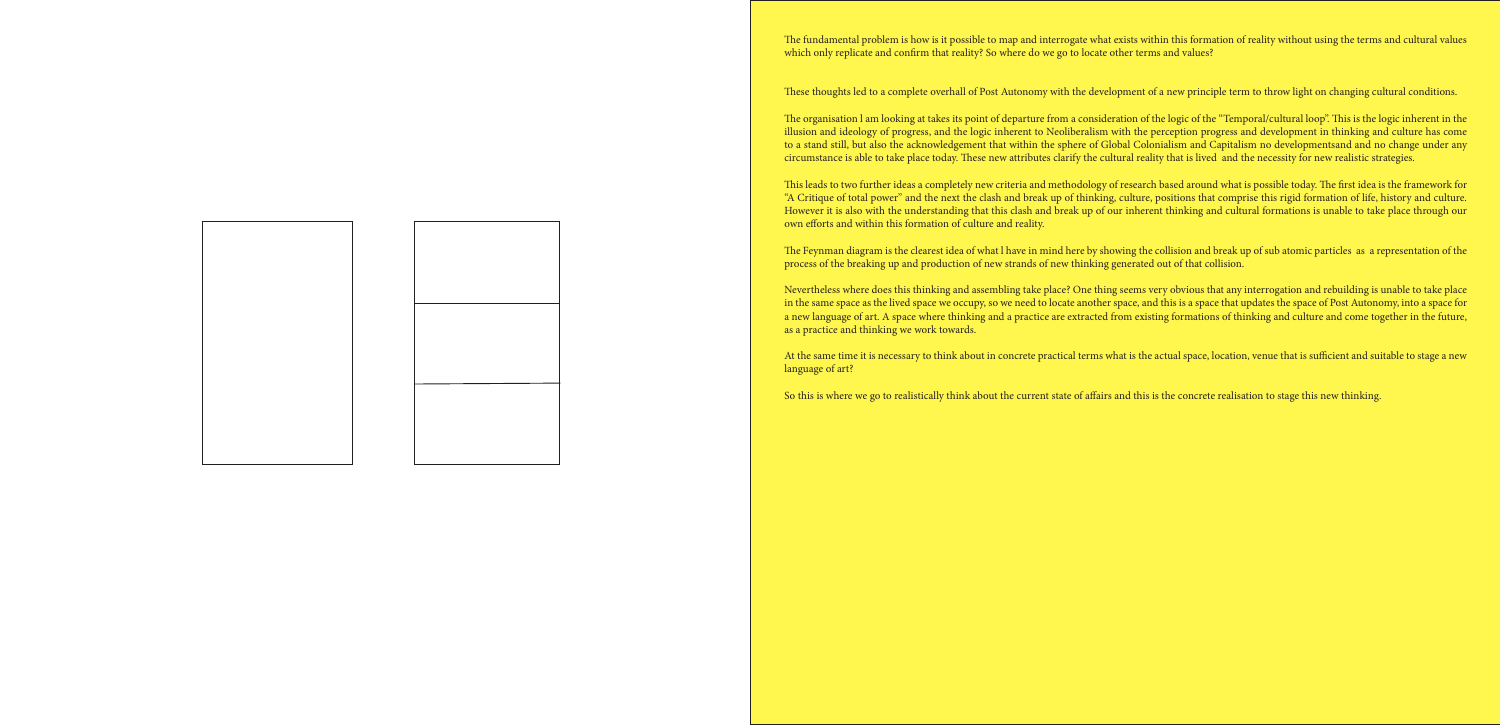These thoughts led to a complete overhall of Post Autonomy with the development of a new principle term to throw light on changing cultural conditions.

The organisation I am looking at takes its point of departure from a consideration of the logic of the "Temporal/cultural loop". This is the logic inherent in the illusion and ideology of progress, and the logic inherent to Neoliberalism with the perception progress and development in thinking and culture has come to a stand still, but also the acknowledgement that within the sphere of Global Colonialism and Capitalism no developmentsand and no change under any circumstance is able to take place today. These new attributes clarify the cultural reality that is lived and the necessity for new realistic strategies.

This leads to two further ideas a completely new criteria and methodology of research based around what is possible today. The first idea is the framework for "A Critique of total power" and the next the clash and break up of thinking, culture, positions that comprise this rigid formation of life, history and culture. However it is also with the understanding that this clash and break up of our inherent thinking and cultural formations is unable to take place through our own efforts and within this formation of culture and reality.

The Feynman diagram is the clearest idea of what l have in mind here by showing the collision and break up of sub atomic particles as a representation of the process of the breaking up and production of new strands of new thinking generated out of that collision.

Nevertheless where does this thinking and assembling take place? One thing seems very obvious that any interrogation and rebuilding is unable to take place in the same space as the lived space we occupy, so we need to locate another space, and this is a space that updates the space of Post Autonomy, into a space for a new language of art. A space where thinking and a practice are extracted from existing formations of thinking and culture and come together in the future, as a practice and thinking we work towards.

At the same time it is necessary to think about in concrete practical terms what is the actual space, location, venue that is sufficient and suitable to stage a new

language of art?

The fundamental problem is how is it possible to map and interrogate what exists within this formation of reality without using the terms and cultural values which only replicate and confirm that reality? So where do we go to locate other terms and values?

So this is where we go to realistically think about the current state of affairs and this is the concrete realisation to stage this new thinking.